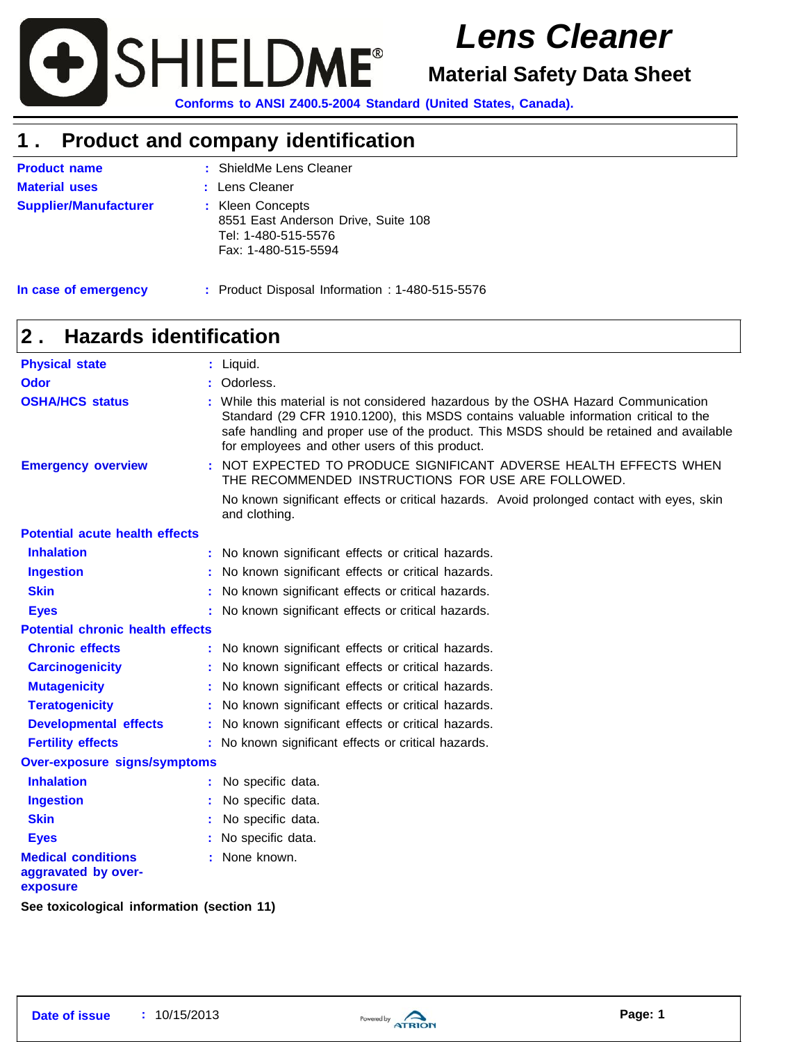

# *Lens Cleaner*

**Material Safety Data Sheet**

**Conforms to ANSI Z400.5-2004 Standard (United States, Canada).**

### **1 . Product and company identification**

| <b>Product name</b>          | : ShieldMe Lens Cleaner                                                                               |
|------------------------------|-------------------------------------------------------------------------------------------------------|
| <b>Material uses</b>         | : Lens Cleaner                                                                                        |
| <b>Supplier/Manufacturer</b> | : Kleen Concepts<br>8551 East Anderson Drive, Suite 108<br>Tel: 1-480-515-5576<br>Fax: 1-480-515-5594 |

**In case of emergency**

**:** Product Disposal Information : 1-480-515-5576

### **2 . Hazards identification**

| <b>Physical state</b>                                        |  | : Liquid.                                                                                                                                                                                                                                                                                                             |
|--------------------------------------------------------------|--|-----------------------------------------------------------------------------------------------------------------------------------------------------------------------------------------------------------------------------------------------------------------------------------------------------------------------|
| <b>Odor</b>                                                  |  | Odorless.                                                                                                                                                                                                                                                                                                             |
| <b>OSHA/HCS status</b>                                       |  | While this material is not considered hazardous by the OSHA Hazard Communication<br>Standard (29 CFR 1910.1200), this MSDS contains valuable information critical to the<br>safe handling and proper use of the product. This MSDS should be retained and available<br>for employees and other users of this product. |
| <b>Emergency overview</b>                                    |  | : NOT EXPECTED TO PRODUCE SIGNIFICANT ADVERSE HEALTH EFFECTS WHEN<br>THE RECOMMENDED INSTRUCTIONS FOR USE ARE FOLLOWED.                                                                                                                                                                                               |
|                                                              |  | No known significant effects or critical hazards. Avoid prolonged contact with eyes, skin<br>and clothing.                                                                                                                                                                                                            |
| <b>Potential acute health effects</b>                        |  |                                                                                                                                                                                                                                                                                                                       |
| <b>Inhalation</b>                                            |  | : No known significant effects or critical hazards.                                                                                                                                                                                                                                                                   |
| <b>Ingestion</b>                                             |  | : No known significant effects or critical hazards.                                                                                                                                                                                                                                                                   |
| <b>Skin</b>                                                  |  | No known significant effects or critical hazards.                                                                                                                                                                                                                                                                     |
| <b>Eyes</b>                                                  |  | : No known significant effects or critical hazards.                                                                                                                                                                                                                                                                   |
| <b>Potential chronic health effects</b>                      |  |                                                                                                                                                                                                                                                                                                                       |
| <b>Chronic effects</b>                                       |  | : No known significant effects or critical hazards.                                                                                                                                                                                                                                                                   |
| <b>Carcinogenicity</b>                                       |  | No known significant effects or critical hazards.                                                                                                                                                                                                                                                                     |
| <b>Mutagenicity</b>                                          |  | No known significant effects or critical hazards.                                                                                                                                                                                                                                                                     |
| <b>Teratogenicity</b>                                        |  | No known significant effects or critical hazards.                                                                                                                                                                                                                                                                     |
| <b>Developmental effects</b>                                 |  | No known significant effects or critical hazards.                                                                                                                                                                                                                                                                     |
| <b>Fertility effects</b>                                     |  | : No known significant effects or critical hazards.                                                                                                                                                                                                                                                                   |
| <b>Over-exposure signs/symptoms</b>                          |  |                                                                                                                                                                                                                                                                                                                       |
| <b>Inhalation</b>                                            |  | No specific data.                                                                                                                                                                                                                                                                                                     |
| <b>Ingestion</b>                                             |  | No specific data.                                                                                                                                                                                                                                                                                                     |
| <b>Skin</b>                                                  |  | No specific data.                                                                                                                                                                                                                                                                                                     |
| <b>Eyes</b>                                                  |  | No specific data.                                                                                                                                                                                                                                                                                                     |
| <b>Medical conditions</b><br>aggravated by over-<br>exposure |  | : None known.                                                                                                                                                                                                                                                                                                         |
| See toxicological information (section 11)                   |  |                                                                                                                                                                                                                                                                                                                       |

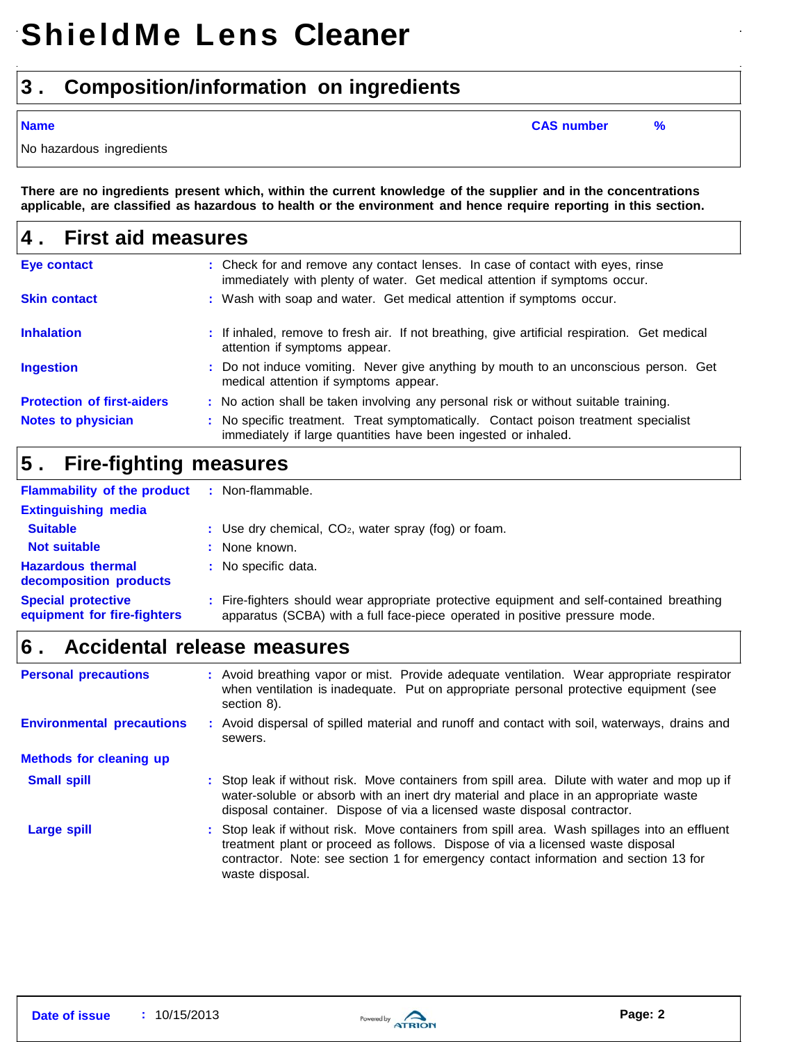### **3 . Composition/information on ingredients**

**Name CAS number %**

No hazardous ingredients

There are no ingredients present which, within the current knowledge of the supplier and in the concentrations applicable, are classified as hazardous to health or the environment and hence require reporting in this section.

| <b>First aid measures</b><br>4.   |                                                                                                                                                              |  |
|-----------------------------------|--------------------------------------------------------------------------------------------------------------------------------------------------------------|--|
| <b>Eye contact</b>                | : Check for and remove any contact lenses. In case of contact with eyes, rinse<br>immediately with plenty of water. Get medical attention if symptoms occur. |  |
| <b>Skin contact</b>               | : Wash with soap and water. Get medical attention if symptoms occur.                                                                                         |  |
| <b>Inhalation</b>                 | : If inhaled, remove to fresh air. If not breathing, give artificial respiration. Get medical<br>attention if symptoms appear.                               |  |
| <b>Ingestion</b>                  | : Do not induce vomiting. Never give anything by mouth to an unconscious person. Get<br>medical attention if symptoms appear.                                |  |
| <b>Protection of first-aiders</b> | : No action shall be taken involving any personal risk or without suitable training.                                                                         |  |
| <b>Notes to physician</b>         | : No specific treatment. Treat symptomatically. Contact poison treatment specialist<br>immediately if large quantities have been ingested or inhaled.        |  |

### **5 . Fire-fighting measures**

| <b>Flammability of the product</b>                       | : Non-flammable.                                                                                                                                                         |
|----------------------------------------------------------|--------------------------------------------------------------------------------------------------------------------------------------------------------------------------|
| <b>Extinguishing media</b>                               |                                                                                                                                                                          |
| <b>Suitable</b>                                          | : Use dry chemical, $CO2$ , water spray (fog) or foam.                                                                                                                   |
| <b>Not suitable</b>                                      | : None known.                                                                                                                                                            |
| <b>Hazardous thermal</b><br>decomposition products       | : No specific data.                                                                                                                                                      |
| <b>Special protective</b><br>equipment for fire-fighters | : Fire-fighters should wear appropriate protective equipment and self-contained breathing<br>apparatus (SCBA) with a full face-piece operated in positive pressure mode. |

### **6 . Accidental release measures**

| <b>Personal precautions</b>      | : Avoid breathing vapor or mist. Provide adequate ventilation. Wear appropriate respirator<br>when ventilation is inadequate. Put on appropriate personal protective equipment (see<br>section 8).                                                                                          |
|----------------------------------|---------------------------------------------------------------------------------------------------------------------------------------------------------------------------------------------------------------------------------------------------------------------------------------------|
| <b>Environmental precautions</b> | : Avoid dispersal of spilled material and runoff and contact with soil, waterways, drains and<br>sewers.                                                                                                                                                                                    |
| <b>Methods for cleaning up</b>   |                                                                                                                                                                                                                                                                                             |
| <b>Small spill</b>               | : Stop leak if without risk. Move containers from spill area. Dilute with water and mop up if<br>water-soluble or absorb with an inert dry material and place in an appropriate waste<br>disposal container. Dispose of via a licensed waste disposal contractor.                           |
| Large spill                      | : Stop leak if without risk. Move containers from spill area. Wash spillages into an effluent<br>treatment plant or proceed as follows. Dispose of via a licensed waste disposal<br>contractor. Note: see section 1 for emergency contact information and section 13 for<br>waste disposal. |

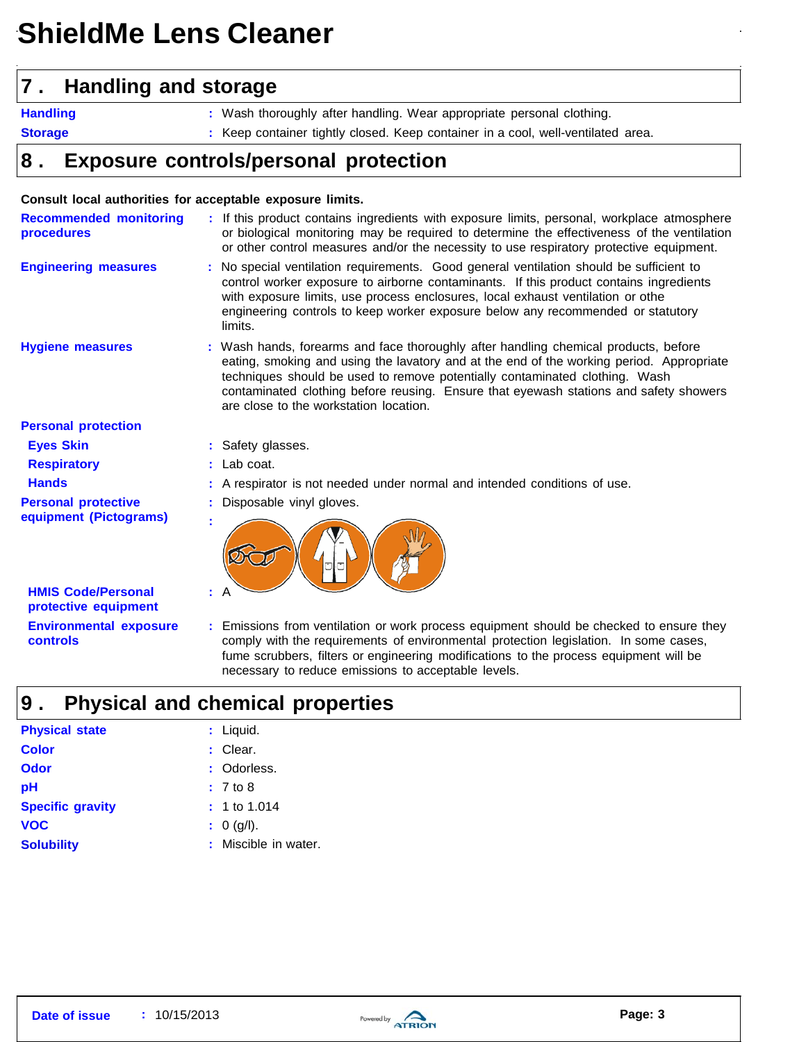# **ShieldMe Lens Cleaner**

### **7 . Handling and storage**

**Handling**

**:** Wash thoroughly after handling. Wear appropriate personal clothing.

**Storage**

**:** Keep container tightly closed. Keep container in a cool, well-ventilated area.

### **8 . Exposure controls/personal protection**

### **Consult local authorities for acceptable exposure limits.**

| <b>Recommended monitoring</b><br><b>procedures</b> | : If this product contains ingredients with exposure limits, personal, workplace atmosphere<br>or biological monitoring may be required to determine the effectiveness of the ventilation<br>or other control measures and/or the necessity to use respiratory protective equipment.                                                                                                              |
|----------------------------------------------------|---------------------------------------------------------------------------------------------------------------------------------------------------------------------------------------------------------------------------------------------------------------------------------------------------------------------------------------------------------------------------------------------------|
| <b>Engineering measures</b>                        | : No special ventilation requirements. Good general ventilation should be sufficient to<br>control worker exposure to airborne contaminants. If this product contains ingredients<br>with exposure limits, use process enclosures, local exhaust ventilation or othe<br>engineering controls to keep worker exposure below any recommended or statutory<br>limits.                                |
| <b>Hygiene measures</b>                            | : Wash hands, forearms and face thoroughly after handling chemical products, before<br>eating, smoking and using the lavatory and at the end of the working period. Appropriate<br>techniques should be used to remove potentially contaminated clothing. Wash<br>contaminated clothing before reusing. Ensure that eyewash stations and safety showers<br>are close to the workstation location. |
| <b>Personal protection</b>                         |                                                                                                                                                                                                                                                                                                                                                                                                   |
| <b>Eyes Skin</b>                                   | : Safety glasses.                                                                                                                                                                                                                                                                                                                                                                                 |
| <b>Respiratory</b>                                 | $:$ Lab coat.                                                                                                                                                                                                                                                                                                                                                                                     |
| <b>Hands</b>                                       | : A respirator is not needed under normal and intended conditions of use.                                                                                                                                                                                                                                                                                                                         |
| <b>Personal protective</b>                         | Disposable vinyl gloves.                                                                                                                                                                                                                                                                                                                                                                          |
| equipment (Pictograms)                             |                                                                                                                                                                                                                                                                                                                                                                                                   |
| <b>HMIS Code/Personal</b><br>protective equipment  |                                                                                                                                                                                                                                                                                                                                                                                                   |
| <b>Environmental exposure</b><br><b>controls</b>   | : Emissions from ventilation or work process equipment should be checked to ensure they<br>comply with the requirements of environmental protection legislation. In some cases,                                                                                                                                                                                                                   |

necessary to reduce emissions to acceptable levels.

fume scrubbers, filters or engineering modifications to the process equipment will be

### **9 . Physical and chemical properties**

| <b>Physical state</b>   | : Liquid.            |
|-------------------------|----------------------|
| <b>Color</b>            | : Clear.             |
| Odor                    | : Odorless.          |
| рH                      | $: 7$ to 8           |
| <b>Specific gravity</b> | $: 1$ to 1.014       |
| <b>VOC</b>              | : 0 (g/l).           |
| <b>Solubility</b>       | : Miscible in water. |

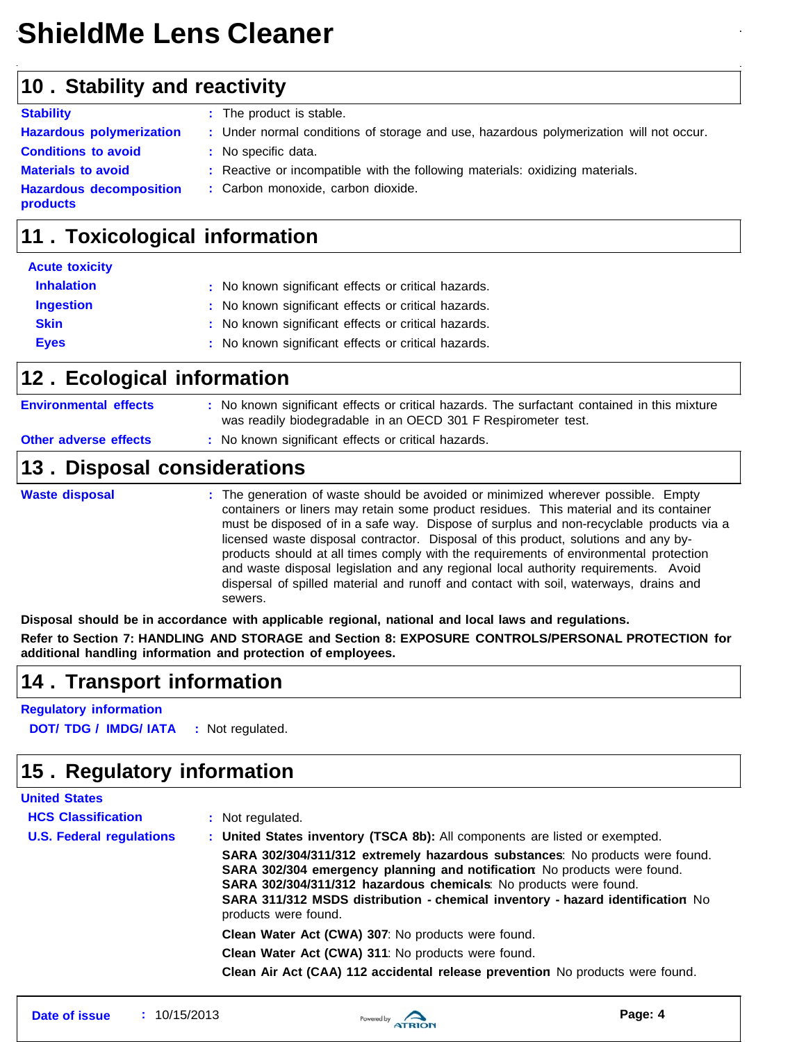# **ShieldMe Lens Cleaner**

### **10 . Stability and reactivity**

| <b>Stability</b>                                  | : The product is stable.                                                               |
|---------------------------------------------------|----------------------------------------------------------------------------------------|
| <b>Hazardous polymerization</b>                   | : Under normal conditions of storage and use, hazardous polymerization will not occur. |
| <b>Conditions to avoid</b>                        | : No specific data.                                                                    |
| <b>Materials to avoid</b>                         | : Reactive or incompatible with the following materials: oxidizing materials.          |
| <b>Hazardous decomposition</b><br><b>products</b> | : Carbon monoxide, carbon dioxide.                                                     |
|                                                   |                                                                                        |

### **11 . Toxicological information**

| <b>Acute toxicity</b> |                                                     |
|-----------------------|-----------------------------------------------------|
| <b>Inhalation</b>     | : No known significant effects or critical hazards. |
| <b>Ingestion</b>      | : No known significant effects or critical hazards. |
| <b>Skin</b>           | : No known significant effects or critical hazards. |
| <b>Eyes</b>           | : No known significant effects or critical hazards. |

### **12 . Ecological information**

| <b>Other adverse effects</b> | : No known significant effects or critical hazards.<br>13. Disposal considerations                                                                            |
|------------------------------|---------------------------------------------------------------------------------------------------------------------------------------------------------------|
| <b>Environmental effects</b> | : No known significant effects or critical hazards. The surfactant contained in this mixture<br>was readily biodegradable in an OECD 301 F Respirometer test. |

**Waste disposal <b>E**mpty **:** The generation of waste should be avoided or minimized wherever possible. Empty containers or liners may retain some product residues. This material and its container must be disposed of in a safe way. Dispose of surplus and non-recyclable products via a licensed waste disposal contractor. Disposal of this product, solutions and any byproducts should at all times comply with the requirements of environmental protection and waste disposal legislation and any regional local authority requirements. Avoid dispersal of spilled material and runoff and contact with soil, waterways, drains and sewers.

**Disposal should be in accordance with applicable regional, national and local laws and regulations.**

**Refer to Section 7: HANDLING AND STORAGE and Section 8: EXPOSURE CONTROLS/PERSONAL PROTECTION for additional handling information and protection of employees.**

### **14 . Transport information**

**Regulatory information**

**DOT/ TDG / IMDG/ IATA :** Not regulated.

## **15 . Regulatory information**

| <b>United States</b>            |                                                                                                                                                                                                                                                                                                                                         |
|---------------------------------|-----------------------------------------------------------------------------------------------------------------------------------------------------------------------------------------------------------------------------------------------------------------------------------------------------------------------------------------|
| <b>HCS Classification</b>       | : Not regulated.                                                                                                                                                                                                                                                                                                                        |
| <b>U.S. Federal regulations</b> | : United States inventory (TSCA 8b): All components are listed or exempted.                                                                                                                                                                                                                                                             |
|                                 | SARA 302/304/311/312 extremely hazardous substances: No products were found.<br>SARA 302/304 emergency planning and notification No products were found.<br>SARA 302/304/311/312 hazardous chemicals: No products were found.<br>SARA 311/312 MSDS distribution - chemical inventory - hazard identification No<br>products were found. |
|                                 | Clean Water Act (CWA) 307: No products were found.                                                                                                                                                                                                                                                                                      |
|                                 | Clean Water Act (CWA) 311: No products were found.                                                                                                                                                                                                                                                                                      |
|                                 | Clean Air Act (CAA) 112 accidental release prevention No products were found.                                                                                                                                                                                                                                                           |

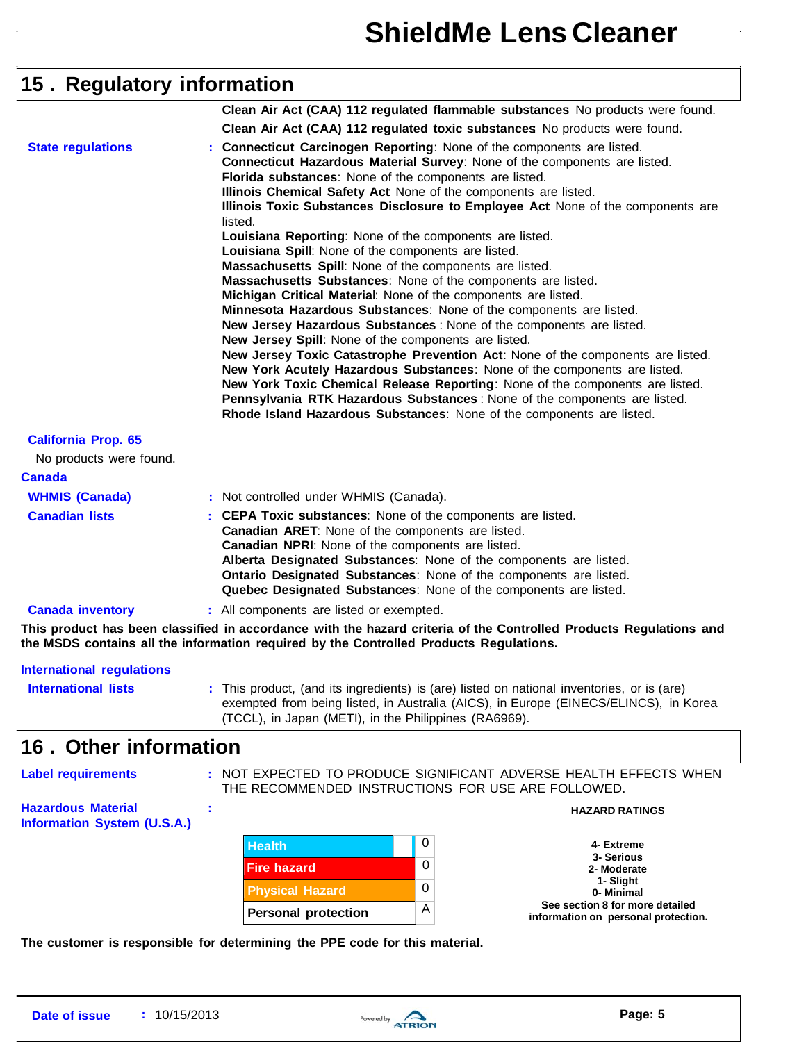## **15 . Regulatory information**

|                            | Clean Air Act (CAA) 112 regulated flammable substances No products were found.                                                                                                                                                                                                                                                                                                                                                                                                                                                                                                                                                                                                                                                                                                                                                                                                                                                                                                         |
|----------------------------|----------------------------------------------------------------------------------------------------------------------------------------------------------------------------------------------------------------------------------------------------------------------------------------------------------------------------------------------------------------------------------------------------------------------------------------------------------------------------------------------------------------------------------------------------------------------------------------------------------------------------------------------------------------------------------------------------------------------------------------------------------------------------------------------------------------------------------------------------------------------------------------------------------------------------------------------------------------------------------------|
|                            | Clean Air Act (CAA) 112 regulated toxic substances No products were found.                                                                                                                                                                                                                                                                                                                                                                                                                                                                                                                                                                                                                                                                                                                                                                                                                                                                                                             |
| <b>State regulations</b>   | : Connecticut Carcinogen Reporting: None of the components are listed.<br>Connecticut Hazardous Material Survey: None of the components are listed.<br>Florida substances: None of the components are listed.<br>Illinois Chemical Safety Act None of the components are listed.<br>Illinois Toxic Substances Disclosure to Employee Act None of the components are<br>listed.<br>Louisiana Reporting: None of the components are listed.<br>Louisiana Spill: None of the components are listed.<br>Massachusetts Spill: None of the components are listed.<br>Massachusetts Substances: None of the components are listed.<br>Michigan Critical Material: None of the components are listed.<br>Minnesota Hazardous Substances: None of the components are listed.<br>New Jersey Hazardous Substances : None of the components are listed.<br>New Jersey Spill: None of the components are listed.<br>New Jersey Toxic Catastrophe Prevention Act: None of the components are listed. |
|                            | New York Acutely Hazardous Substances: None of the components are listed.<br>New York Toxic Chemical Release Reporting: None of the components are listed.<br>Pennsylvania RTK Hazardous Substances : None of the components are listed.<br>Rhode Island Hazardous Substances: None of the components are listed.                                                                                                                                                                                                                                                                                                                                                                                                                                                                                                                                                                                                                                                                      |
| <b>California Prop. 65</b> |                                                                                                                                                                                                                                                                                                                                                                                                                                                                                                                                                                                                                                                                                                                                                                                                                                                                                                                                                                                        |
| No products were found.    |                                                                                                                                                                                                                                                                                                                                                                                                                                                                                                                                                                                                                                                                                                                                                                                                                                                                                                                                                                                        |
| <b>Canada</b>              |                                                                                                                                                                                                                                                                                                                                                                                                                                                                                                                                                                                                                                                                                                                                                                                                                                                                                                                                                                                        |
| <b>WHMIS (Canada)</b>      | : Not controlled under WHMIS (Canada).                                                                                                                                                                                                                                                                                                                                                                                                                                                                                                                                                                                                                                                                                                                                                                                                                                                                                                                                                 |
| <b>Canadian lists</b>      | : CEPA Toxic substances: None of the components are listed.<br>Canadian ARET: None of the components are listed.<br>Canadian NPRI: None of the components are listed.<br>Alberta Designated Substances: None of the components are listed.<br>Ontario Designated Substances: None of the components are listed.<br>Quebec Designated Substances: None of the components are listed.                                                                                                                                                                                                                                                                                                                                                                                                                                                                                                                                                                                                    |
| <b>Canada inventory</b>    | : All components are listed or exempted.                                                                                                                                                                                                                                                                                                                                                                                                                                                                                                                                                                                                                                                                                                                                                                                                                                                                                                                                               |

This product has been classified in accordance with the hazard criteria of the Controlled Products Regulations and **the MSDS contains all the information required by the Controlled Products Regulations.**

| International regulations  |                                                                                                                                                                                                                                             |
|----------------------------|---------------------------------------------------------------------------------------------------------------------------------------------------------------------------------------------------------------------------------------------|
| <b>International lists</b> | : This product, (and its ingredients) is (are) listed on national inventories, or is (are)<br>exempted from being listed, in Australia (AICS), in Europe (EINECS/ELINCS), in Korea<br>(TCCL), in Japan (METI), in the Philippines (RA6969). |
|                            |                                                                                                                                                                                                                                             |

### **16 . Other information**

| <b>Label requirements</b>                                       |                                     |   | : NOT EXPECTED TO PRODUCE SIGNIFICANT ADVERSE HEALTH EFFECTS WHEN<br>THE RECOMMENDED INSTRUCTIONS FOR USE ARE FOLLOWED. |
|-----------------------------------------------------------------|-------------------------------------|---|-------------------------------------------------------------------------------------------------------------------------|
| <b>Hazardous Material</b><br><b>Information System (U.S.A.)</b> |                                     |   | <b>HAZARD RATINGS</b>                                                                                                   |
|                                                                 | <b>Health</b><br><b>Fire hazard</b> | 0 | 4- Extreme<br>3- Serious<br>0<br>2- Moderate<br>1- Slight<br>0<br>0- Minimal                                            |
|                                                                 |                                     |   |                                                                                                                         |
|                                                                 | <b>Physical Hazard</b>              |   |                                                                                                                         |
|                                                                 | <b>Personal protection</b>          | A | See section 8 for more detailed<br>information on personal protection.                                                  |

**The customer is responsible for determining the PPE code for this material.**